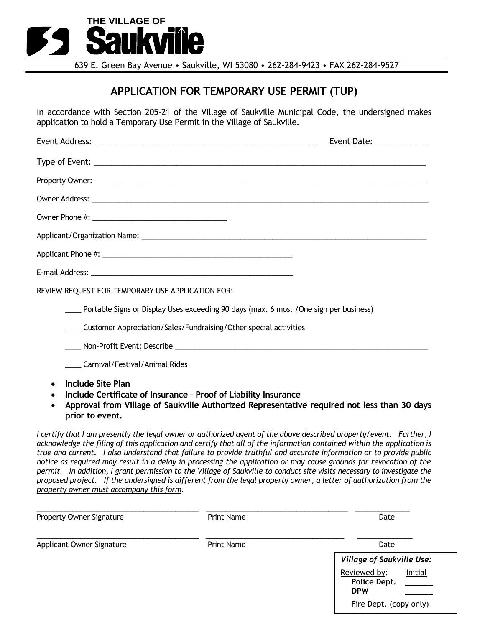

639 E. Green Bay Avenue • Saukville, WI 53080 • 262-284-9423 • FAX 262-284-9527

## **APPLICATION FOR TEMPORARY USE PERMIT (TUP)**

In accordance with Section 205-21 of the Village of Saukville Municipal Code, the undersigned makes application to hold a Temporary Use Permit in the Village of Saukville.

|                                                                                                                                                                                                        | Event Date: ____________ |
|--------------------------------------------------------------------------------------------------------------------------------------------------------------------------------------------------------|--------------------------|
|                                                                                                                                                                                                        |                          |
|                                                                                                                                                                                                        |                          |
|                                                                                                                                                                                                        |                          |
|                                                                                                                                                                                                        |                          |
|                                                                                                                                                                                                        |                          |
|                                                                                                                                                                                                        |                          |
|                                                                                                                                                                                                        |                          |
| REVIEW REQUEST FOR TEMPORARY USE APPLICATION FOR:                                                                                                                                                      |                          |
| Portable Signs or Display Uses exceeding 90 days (max. 6 mos. / One sign per business)                                                                                                                 |                          |
| _____ Customer Appreciation/Sales/Fundraising/Other special activities                                                                                                                                 |                          |
|                                                                                                                                                                                                        |                          |
| Carnival/Festival/Animal Rides                                                                                                                                                                         |                          |
| Include Site Plan<br>Include Certificate of Insurance - Proof of Liability Insurance<br>Approval from Village of Saukville Authorized Representative required not less than 30 days<br>prior to event. |                          |

*I certify that I am presently the legal owner or authorized agent of the above described property/event. Further, I acknowledge the filing of this application and certify that all of the information contained within the application is true and current. I also understand that failure to provide truthful and accurate information or to provide public notice as required may result in a delay in processing the application or may cause grounds for revocation of the permit. In addition, I grant permission to the Village of Saukville to conduct site visits necessary to investigate the proposed project. If the undersigned is different from the legal property owner, a letter of authorization from the property owner must accompany this form.*

| <b>Property Owner Signature</b> | <b>Print Name</b> | Date                                                  |
|---------------------------------|-------------------|-------------------------------------------------------|
| Applicant Owner Signature       | Print Name        | Date                                                  |
|                                 |                   | <b>Village of Saukville Use:</b>                      |
|                                 |                   | Reviewed by:<br>Initial<br>Police Dept.<br><b>DPW</b> |
|                                 |                   | Fire Dept. (copy only)                                |